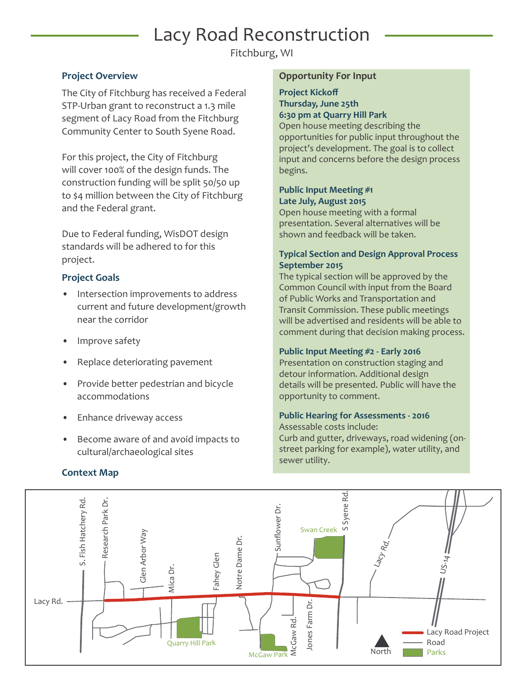## Lacy Road Reconstruction

Fitchburg, WI

The City of Fitchburg has received a Federal STP-Urban grant to reconstruct a 1.3 mile segment of Lacy Road from the Fitchburg Community Center to South Syene Road.

For this project, the City of Fitchburg will cover 100% of the design funds. The construction funding will be split 50/50 up to \$4 million between the City of Fitchburg and the Federal grant.

Due to Federal funding, WisDOT design standards will be adhered to for this project.

#### **Project Goals**

- Intersection improvements to address current and future development/growth near the corridor
- Improve safety
- Replace deteriorating pavement
- Provide better pedestrian and bicycle accommodations
- Enhance driveway access
- Become aware of and avoid impacts to cultural/archaeological sites

### **Context Map**

#### **Project Overview COVER 2018 Opportunity For Input**

#### **Project Kickoff Thursday, June 25th 6:30 pm at Quarry Hill Park**

Open house meeting describing the opportunities for public input throughout the project's development. The goal is to collect input and concerns before the design process begins.

#### **Public Input Meeting #1 Late July, August 2015**

Open house meeting with a formal presentation. Several alternatives will be shown and feedback will be taken.

#### **Typical Section and Design Approval Process September 2015**

The typical section will be approved by the Common Council with input from the Board of Public Works and Transportation and Transit Commission. These public meetings will be advertised and residents will be able to comment during that decision making process.

#### **Public Input Meeting #2 - Early 2016**

Presentation on construction staging and detour information. Additional design details will be presented. Public will have the opportunity to comment.

#### **Public Hearing for Assessments - 2016**

Assessable costs include: Curb and gutter, driveways, road widening (onstreet parking for example), water utility, and sewer utility.